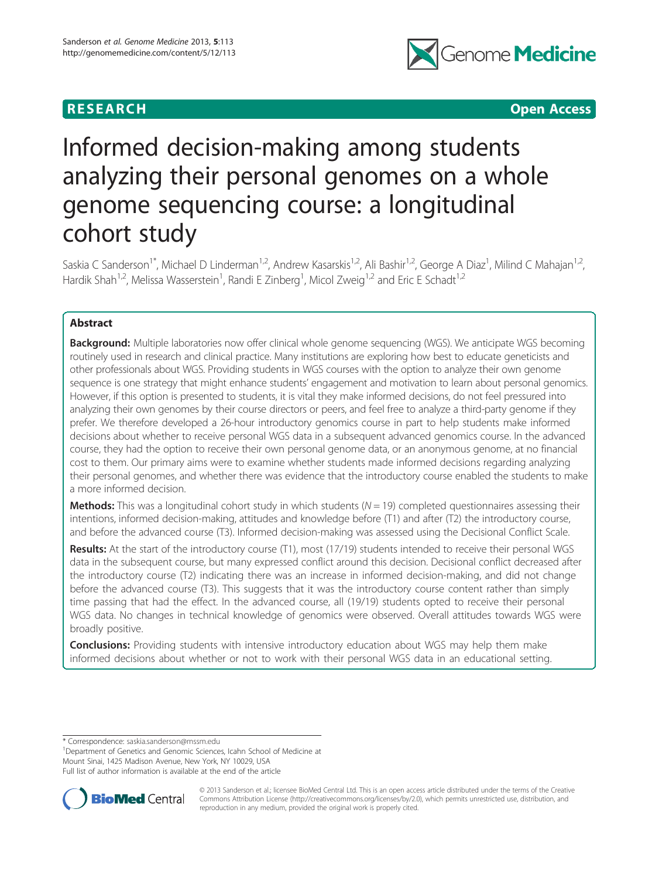# **RESEARCH CHEAR CHEAR CHEAR CHEAR CHEAR CHEAR CHEAR CHEAR CHEAR CHEAR CHEAR CHEAR CHEAR CHEAR CHEAR CHEAR CHEAR**



# Informed decision-making among students analyzing their personal genomes on a whole genome sequencing course: a longitudinal cohort study

Saskia C Sanderson<sup>1\*</sup>, Michael D Linderman<sup>1,2</sup>, Andrew Kasarskis<sup>1,2</sup>, Ali Bashir<sup>1,2</sup>, George A Diaz<sup>1</sup>, Milind C Mahajan<sup>1,2</sup>, Hardik Shah<sup>1,2</sup>, Melissa Wasserstein<sup>1</sup>, Randi E Zinberg<sup>1</sup>, Micol Zweig<sup>1,2</sup> and Eric E Schadt<sup>1,2</sup>

# Abstract

Background: Multiple laboratories now offer clinical whole genome sequencing (WGS). We anticipate WGS becoming routinely used in research and clinical practice. Many institutions are exploring how best to educate geneticists and other professionals about WGS. Providing students in WGS courses with the option to analyze their own genome sequence is one strategy that might enhance students' engagement and motivation to learn about personal genomics. However, if this option is presented to students, it is vital they make informed decisions, do not feel pressured into analyzing their own genomes by their course directors or peers, and feel free to analyze a third-party genome if they prefer. We therefore developed a 26-hour introductory genomics course in part to help students make informed decisions about whether to receive personal WGS data in a subsequent advanced genomics course. In the advanced course, they had the option to receive their own personal genome data, or an anonymous genome, at no financial cost to them. Our primary aims were to examine whether students made informed decisions regarding analyzing their personal genomes, and whether there was evidence that the introductory course enabled the students to make a more informed decision.

**Methods:** This was a longitudinal cohort study in which students  $(N = 19)$  completed questionnaires assessing their intentions, informed decision-making, attitudes and knowledge before (T1) and after (T2) the introductory course, and before the advanced course (T3). Informed decision-making was assessed using the Decisional Conflict Scale.

Results: At the start of the introductory course (T1), most (17/19) students intended to receive their personal WGS data in the subsequent course, but many expressed conflict around this decision. Decisional conflict decreased after the introductory course (T2) indicating there was an increase in informed decision-making, and did not change before the advanced course (T3). This suggests that it was the introductory course content rather than simply time passing that had the effect. In the advanced course, all (19/19) students opted to receive their personal WGS data. No changes in technical knowledge of genomics were observed. Overall attitudes towards WGS were broadly positive.

**Conclusions:** Providing students with intensive introductory education about WGS may help them make informed decisions about whether or not to work with their personal WGS data in an educational setting.

\* Correspondence: [saskia.sanderson@mssm.edu](mailto:saskia.sanderson@mssm.edu) <sup>1</sup>

<sup>1</sup>Department of Genetics and Genomic Sciences, Icahn School of Medicine at Mount Sinai, 1425 Madison Avenue, New York, NY 10029, USA Full list of author information is available at the end of the article



© 2013 Sanderson et al.; licensee BioMed Central Ltd. This is an open access article distributed under the terms of the Creative Commons Attribution License [\(http://creativecommons.org/licenses/by/2.0\)](http://creativecommons.org/licenses/by/2.0), which permits unrestricted use, distribution, and reproduction in any medium, provided the original work is properly cited.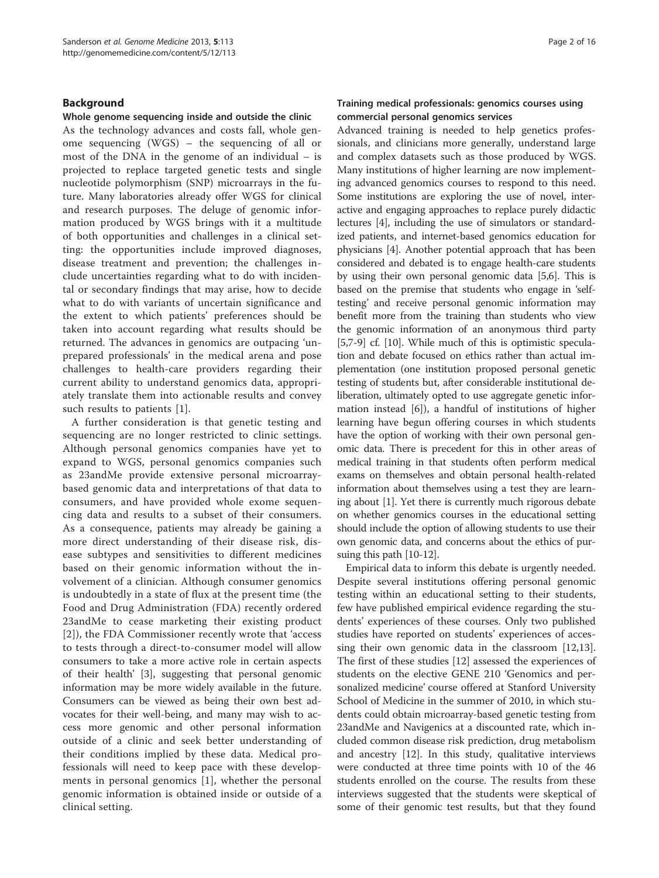## Background

#### Whole genome sequencing inside and outside the clinic

As the technology advances and costs fall, whole genome sequencing (WGS) – the sequencing of all or most of the DNA in the genome of an individual – is projected to replace targeted genetic tests and single nucleotide polymorphism (SNP) microarrays in the future. Many laboratories already offer WGS for clinical and research purposes. The deluge of genomic information produced by WGS brings with it a multitude of both opportunities and challenges in a clinical setting: the opportunities include improved diagnoses, disease treatment and prevention; the challenges include uncertainties regarding what to do with incidental or secondary findings that may arise, how to decide what to do with variants of uncertain significance and the extent to which patients' preferences should be taken into account regarding what results should be returned. The advances in genomics are outpacing 'unprepared professionals' in the medical arena and pose challenges to health-care providers regarding their current ability to understand genomics data, appropriately translate them into actionable results and convey such results to patients [[1\]](#page-15-0).

A further consideration is that genetic testing and sequencing are no longer restricted to clinic settings. Although personal genomics companies have yet to expand to WGS, personal genomics companies such as 23andMe provide extensive personal microarraybased genomic data and interpretations of that data to consumers, and have provided whole exome sequencing data and results to a subset of their consumers. As a consequence, patients may already be gaining a more direct understanding of their disease risk, disease subtypes and sensitivities to different medicines based on their genomic information without the involvement of a clinician. Although consumer genomics is undoubtedly in a state of flux at the present time (the Food and Drug Administration (FDA) recently ordered 23andMe to cease marketing their existing product [[2](#page-15-0)]), the FDA Commissioner recently wrote that 'access to tests through a direct-to-consumer model will allow consumers to take a more active role in certain aspects of their health' [\[3](#page-15-0)], suggesting that personal genomic information may be more widely available in the future. Consumers can be viewed as being their own best advocates for their well-being, and many may wish to access more genomic and other personal information outside of a clinic and seek better understanding of their conditions implied by these data. Medical professionals will need to keep pace with these developments in personal genomics [[1](#page-15-0)], whether the personal genomic information is obtained inside or outside of a clinical setting.

## Training medical professionals: genomics courses using commercial personal genomics services

Advanced training is needed to help genetics professionals, and clinicians more generally, understand large and complex datasets such as those produced by WGS. Many institutions of higher learning are now implementing advanced genomics courses to respond to this need. Some institutions are exploring the use of novel, interactive and engaging approaches to replace purely didactic lectures [[4](#page-15-0)], including the use of simulators or standardized patients, and internet-based genomics education for physicians [\[4](#page-15-0)]. Another potential approach that has been considered and debated is to engage health-care students by using their own personal genomic data [\[5,6\]](#page-15-0). This is based on the premise that students who engage in 'selftesting' and receive personal genomic information may benefit more from the training than students who view the genomic information of an anonymous third party [[5,7-9\]](#page-15-0) cf. [\[10\]](#page-15-0). While much of this is optimistic speculation and debate focused on ethics rather than actual implementation (one institution proposed personal genetic testing of students but, after considerable institutional deliberation, ultimately opted to use aggregate genetic information instead [[6\]](#page-15-0)), a handful of institutions of higher learning have begun offering courses in which students have the option of working with their own personal genomic data. There is precedent for this in other areas of medical training in that students often perform medical exams on themselves and obtain personal health-related information about themselves using a test they are learning about [[1\]](#page-15-0). Yet there is currently much rigorous debate on whether genomics courses in the educational setting should include the option of allowing students to use their own genomic data, and concerns about the ethics of pursuing this path [\[10-12\]](#page-15-0).

Empirical data to inform this debate is urgently needed. Despite several institutions offering personal genomic testing within an educational setting to their students, few have published empirical evidence regarding the students' experiences of these courses. Only two published studies have reported on students' experiences of accessing their own genomic data in the classroom [[12,13](#page-15-0)]. The first of these studies [\[12\]](#page-15-0) assessed the experiences of students on the elective GENE 210 'Genomics and personalized medicine' course offered at Stanford University School of Medicine in the summer of 2010, in which students could obtain microarray-based genetic testing from 23andMe and Navigenics at a discounted rate, which included common disease risk prediction, drug metabolism and ancestry [[12](#page-15-0)]. In this study, qualitative interviews were conducted at three time points with 10 of the 46 students enrolled on the course. The results from these interviews suggested that the students were skeptical of some of their genomic test results, but that they found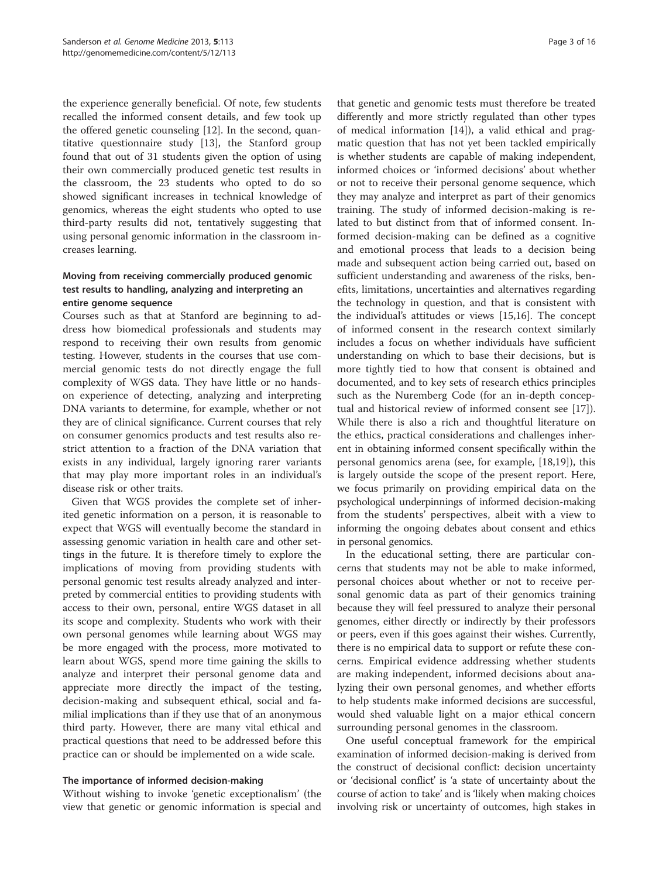the experience generally beneficial. Of note, few students recalled the informed consent details, and few took up the offered genetic counseling [[12](#page-15-0)]. In the second, quantitative questionnaire study [\[13](#page-15-0)], the Stanford group found that out of 31 students given the option of using their own commercially produced genetic test results in the classroom, the 23 students who opted to do so showed significant increases in technical knowledge of genomics, whereas the eight students who opted to use third-party results did not, tentatively suggesting that using personal genomic information in the classroom increases learning.

## Moving from receiving commercially produced genomic test results to handling, analyzing and interpreting an entire genome sequence

Courses such as that at Stanford are beginning to address how biomedical professionals and students may respond to receiving their own results from genomic testing. However, students in the courses that use commercial genomic tests do not directly engage the full complexity of WGS data. They have little or no handson experience of detecting, analyzing and interpreting DNA variants to determine, for example, whether or not they are of clinical significance. Current courses that rely on consumer genomics products and test results also restrict attention to a fraction of the DNA variation that exists in any individual, largely ignoring rarer variants that may play more important roles in an individual's disease risk or other traits.

Given that WGS provides the complete set of inherited genetic information on a person, it is reasonable to expect that WGS will eventually become the standard in assessing genomic variation in health care and other settings in the future. It is therefore timely to explore the implications of moving from providing students with personal genomic test results already analyzed and interpreted by commercial entities to providing students with access to their own, personal, entire WGS dataset in all its scope and complexity. Students who work with their own personal genomes while learning about WGS may be more engaged with the process, more motivated to learn about WGS, spend more time gaining the skills to analyze and interpret their personal genome data and appreciate more directly the impact of the testing, decision-making and subsequent ethical, social and familial implications than if they use that of an anonymous third party. However, there are many vital ethical and practical questions that need to be addressed before this practice can or should be implemented on a wide scale.

#### The importance of informed decision-making

Without wishing to invoke 'genetic exceptionalism' (the view that genetic or genomic information is special and

that genetic and genomic tests must therefore be treated differently and more strictly regulated than other types of medical information [\[14\]](#page-15-0)), a valid ethical and pragmatic question that has not yet been tackled empirically is whether students are capable of making independent, informed choices or 'informed decisions' about whether or not to receive their personal genome sequence, which they may analyze and interpret as part of their genomics training. The study of informed decision-making is related to but distinct from that of informed consent. Informed decision-making can be defined as a cognitive and emotional process that leads to a decision being made and subsequent action being carried out, based on sufficient understanding and awareness of the risks, benefits, limitations, uncertainties and alternatives regarding the technology in question, and that is consistent with the individual's attitudes or views [\[15,16](#page-15-0)]. The concept of informed consent in the research context similarly includes a focus on whether individuals have sufficient understanding on which to base their decisions, but is more tightly tied to how that consent is obtained and documented, and to key sets of research ethics principles such as the Nuremberg Code (for an in-depth conceptual and historical review of informed consent see [\[17](#page-15-0)]). While there is also a rich and thoughtful literature on the ethics, practical considerations and challenges inherent in obtaining informed consent specifically within the personal genomics arena (see, for example, [\[18,19\]](#page-15-0)), this is largely outside the scope of the present report. Here, we focus primarily on providing empirical data on the psychological underpinnings of informed decision-making from the students' perspectives, albeit with a view to informing the ongoing debates about consent and ethics in personal genomics.

In the educational setting, there are particular concerns that students may not be able to make informed, personal choices about whether or not to receive personal genomic data as part of their genomics training because they will feel pressured to analyze their personal genomes, either directly or indirectly by their professors or peers, even if this goes against their wishes. Currently, there is no empirical data to support or refute these concerns. Empirical evidence addressing whether students are making independent, informed decisions about analyzing their own personal genomes, and whether efforts to help students make informed decisions are successful, would shed valuable light on a major ethical concern surrounding personal genomes in the classroom.

One useful conceptual framework for the empirical examination of informed decision-making is derived from the construct of decisional conflict: decision uncertainty or 'decisional conflict' is 'a state of uncertainty about the course of action to take' and is 'likely when making choices involving risk or uncertainty of outcomes, high stakes in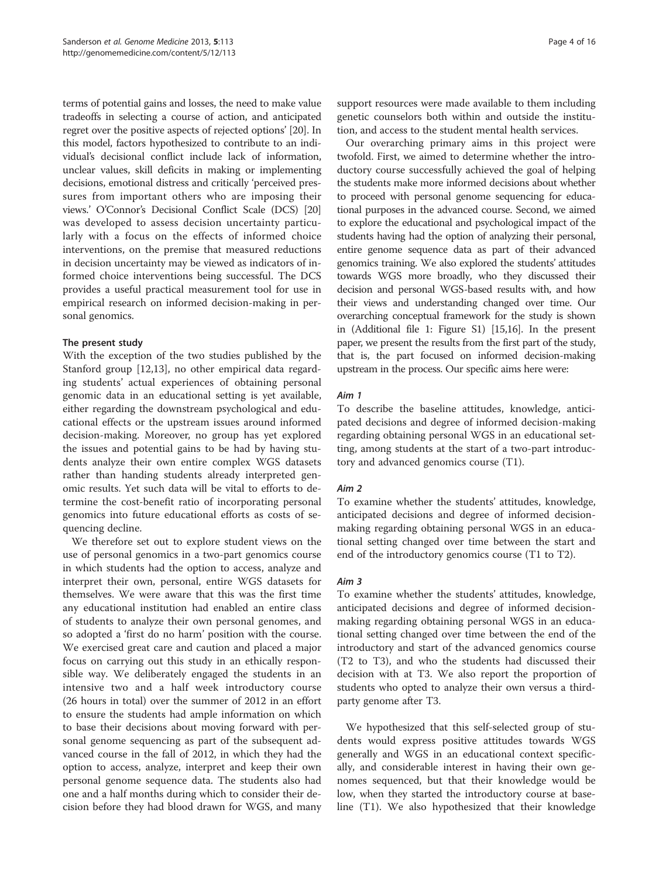terms of potential gains and losses, the need to make value tradeoffs in selecting a course of action, and anticipated regret over the positive aspects of rejected options' [[20](#page-15-0)]. In this model, factors hypothesized to contribute to an individual's decisional conflict include lack of information, unclear values, skill deficits in making or implementing decisions, emotional distress and critically 'perceived pressures from important others who are imposing their views.' O'Connor's Decisional Conflict Scale (DCS) [\[20](#page-15-0)] was developed to assess decision uncertainty particularly with a focus on the effects of informed choice interventions, on the premise that measured reductions in decision uncertainty may be viewed as indicators of informed choice interventions being successful. The DCS provides a useful practical measurement tool for use in empirical research on informed decision-making in personal genomics.

## The present study

With the exception of the two studies published by the Stanford group [[12,13](#page-15-0)], no other empirical data regarding students' actual experiences of obtaining personal genomic data in an educational setting is yet available, either regarding the downstream psychological and educational effects or the upstream issues around informed decision-making. Moreover, no group has yet explored the issues and potential gains to be had by having students analyze their own entire complex WGS datasets rather than handing students already interpreted genomic results. Yet such data will be vital to efforts to determine the cost-benefit ratio of incorporating personal genomics into future educational efforts as costs of sequencing decline.

We therefore set out to explore student views on the use of personal genomics in a two-part genomics course in which students had the option to access, analyze and interpret their own, personal, entire WGS datasets for themselves. We were aware that this was the first time any educational institution had enabled an entire class of students to analyze their own personal genomes, and so adopted a 'first do no harm' position with the course. We exercised great care and caution and placed a major focus on carrying out this study in an ethically responsible way. We deliberately engaged the students in an intensive two and a half week introductory course (26 hours in total) over the summer of 2012 in an effort to ensure the students had ample information on which to base their decisions about moving forward with personal genome sequencing as part of the subsequent advanced course in the fall of 2012, in which they had the option to access, analyze, interpret and keep their own personal genome sequence data. The students also had one and a half months during which to consider their decision before they had blood drawn for WGS, and many support resources were made available to them including genetic counselors both within and outside the institution, and access to the student mental health services.

Our overarching primary aims in this project were twofold. First, we aimed to determine whether the introductory course successfully achieved the goal of helping the students make more informed decisions about whether to proceed with personal genome sequencing for educational purposes in the advanced course. Second, we aimed to explore the educational and psychological impact of the students having had the option of analyzing their personal, entire genome sequence data as part of their advanced genomics training. We also explored the students' attitudes towards WGS more broadly, who they discussed their decision and personal WGS-based results with, and how their views and understanding changed over time. Our overarching conceptual framework for the study is shown in (Additional file [1:](#page-14-0) Figure S1) [\[15,16\]](#page-15-0). In the present paper, we present the results from the first part of the study, that is, the part focused on informed decision-making upstream in the process. Our specific aims here were:

## Aim 1

To describe the baseline attitudes, knowledge, anticipated decisions and degree of informed decision-making regarding obtaining personal WGS in an educational setting, among students at the start of a two-part introductory and advanced genomics course (T1).

## Aim 2

To examine whether the students' attitudes, knowledge, anticipated decisions and degree of informed decisionmaking regarding obtaining personal WGS in an educational setting changed over time between the start and end of the introductory genomics course (T1 to T2).

## Aim 3

To examine whether the students' attitudes, knowledge, anticipated decisions and degree of informed decisionmaking regarding obtaining personal WGS in an educational setting changed over time between the end of the introductory and start of the advanced genomics course (T2 to T3), and who the students had discussed their decision with at T3. We also report the proportion of students who opted to analyze their own versus a thirdparty genome after T3.

We hypothesized that this self-selected group of students would express positive attitudes towards WGS generally and WGS in an educational context specifically, and considerable interest in having their own genomes sequenced, but that their knowledge would be low, when they started the introductory course at baseline (T1). We also hypothesized that their knowledge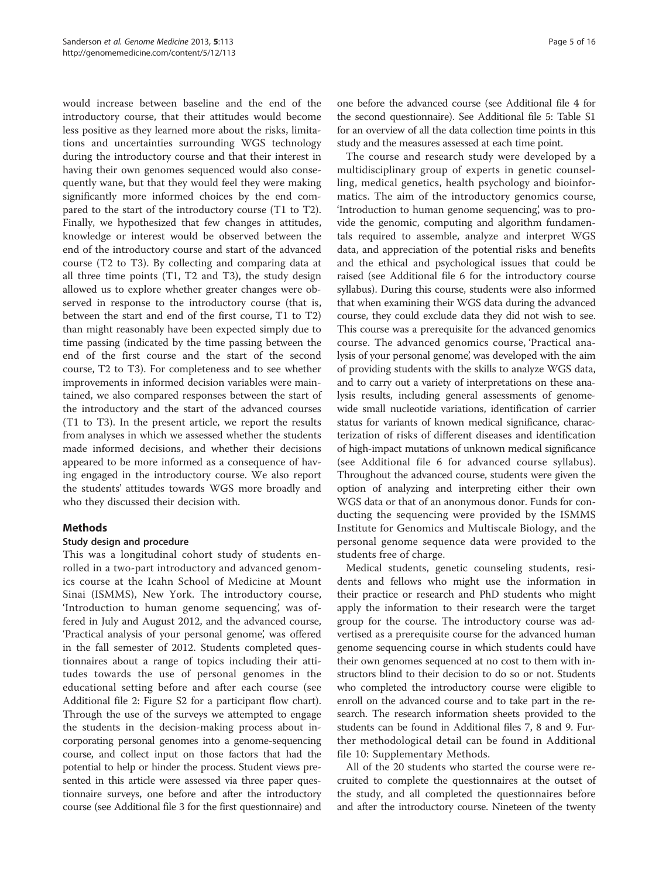would increase between baseline and the end of the introductory course, that their attitudes would become less positive as they learned more about the risks, limitations and uncertainties surrounding WGS technology during the introductory course and that their interest in having their own genomes sequenced would also consequently wane, but that they would feel they were making significantly more informed choices by the end compared to the start of the introductory course (T1 to T2). Finally, we hypothesized that few changes in attitudes, knowledge or interest would be observed between the end of the introductory course and start of the advanced course (T2 to T3). By collecting and comparing data at all three time points (T1, T2 and T3), the study design allowed us to explore whether greater changes were observed in response to the introductory course (that is, between the start and end of the first course, T1 to T2) than might reasonably have been expected simply due to time passing (indicated by the time passing between the end of the first course and the start of the second course, T2 to T3). For completeness and to see whether improvements in informed decision variables were maintained, we also compared responses between the start of the introductory and the start of the advanced courses (T1 to T3). In the present article, we report the results from analyses in which we assessed whether the students made informed decisions, and whether their decisions appeared to be more informed as a consequence of having engaged in the introductory course. We also report the students' attitudes towards WGS more broadly and who they discussed their decision with.

## Methods

#### Study design and procedure

This was a longitudinal cohort study of students enrolled in a two-part introductory and advanced genomics course at the Icahn School of Medicine at Mount Sinai (ISMMS), New York. The introductory course, 'Introduction to human genome sequencing', was offered in July and August 2012, and the advanced course, 'Practical analysis of your personal genome', was offered in the fall semester of 2012. Students completed questionnaires about a range of topics including their attitudes towards the use of personal genomes in the educational setting before and after each course (see Additional file [2](#page-14-0): Figure S2 for a participant flow chart). Through the use of the surveys we attempted to engage the students in the decision-making process about incorporating personal genomes into a genome-sequencing course, and collect input on those factors that had the potential to help or hinder the process. Student views presented in this article were assessed via three paper questionnaire surveys, one before and after the introductory course (see Additional file [3](#page-14-0) for the first questionnaire) and

one before the advanced course (see Additional file [4](#page-14-0) for the second questionnaire). See Additional file [5:](#page-14-0) Table S1 for an overview of all the data collection time points in this study and the measures assessed at each time point.

The course and research study were developed by a multidisciplinary group of experts in genetic counselling, medical genetics, health psychology and bioinformatics. The aim of the introductory genomics course, 'Introduction to human genome sequencing', was to provide the genomic, computing and algorithm fundamentals required to assemble, analyze and interpret WGS data, and appreciation of the potential risks and benefits and the ethical and psychological issues that could be raised (see Additional file [6](#page-14-0) for the introductory course syllabus). During this course, students were also informed that when examining their WGS data during the advanced course, they could exclude data they did not wish to see. This course was a prerequisite for the advanced genomics course. The advanced genomics course, 'Practical analysis of your personal genome', was developed with the aim of providing students with the skills to analyze WGS data, and to carry out a variety of interpretations on these analysis results, including general assessments of genomewide small nucleotide variations, identification of carrier status for variants of known medical significance, characterization of risks of different diseases and identification of high-impact mutations of unknown medical significance (see Additional file [6](#page-14-0) for advanced course syllabus). Throughout the advanced course, students were given the option of analyzing and interpreting either their own WGS data or that of an anonymous donor. Funds for conducting the sequencing were provided by the ISMMS Institute for Genomics and Multiscale Biology, and the personal genome sequence data were provided to the students free of charge.

Medical students, genetic counseling students, residents and fellows who might use the information in their practice or research and PhD students who might apply the information to their research were the target group for the course. The introductory course was advertised as a prerequisite course for the advanced human genome sequencing course in which students could have their own genomes sequenced at no cost to them with instructors blind to their decision to do so or not. Students who completed the introductory course were eligible to enroll on the advanced course and to take part in the research. The research information sheets provided to the students can be found in Additional files [7](#page-14-0), [8](#page-14-0) and [9.](#page-14-0) Further methodological detail can be found in Additional file [10](#page-14-0): Supplementary Methods.

All of the 20 students who started the course were recruited to complete the questionnaires at the outset of the study, and all completed the questionnaires before and after the introductory course. Nineteen of the twenty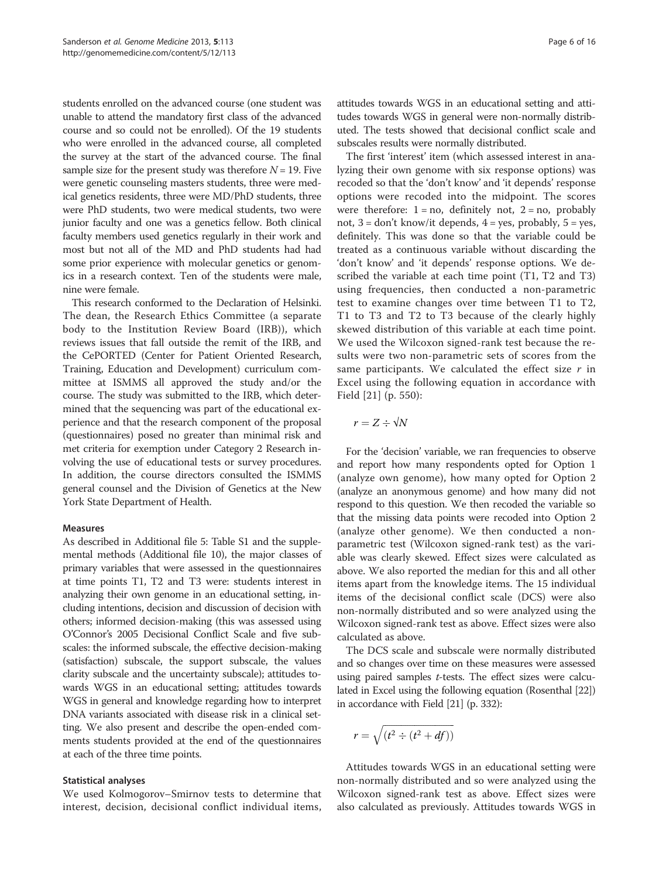students enrolled on the advanced course (one student was unable to attend the mandatory first class of the advanced course and so could not be enrolled). Of the 19 students who were enrolled in the advanced course, all completed the survey at the start of the advanced course. The final sample size for the present study was therefore  $N = 19$ . Five were genetic counseling masters students, three were medical genetics residents, three were MD/PhD students, three were PhD students, two were medical students, two were junior faculty and one was a genetics fellow. Both clinical faculty members used genetics regularly in their work and most but not all of the MD and PhD students had had some prior experience with molecular genetics or genomics in a research context. Ten of the students were male, nine were female.

This research conformed to the Declaration of Helsinki. The dean, the Research Ethics Committee (a separate body to the Institution Review Board (IRB)), which reviews issues that fall outside the remit of the IRB, and the CePORTED (Center for Patient Oriented Research, Training, Education and Development) curriculum committee at ISMMS all approved the study and/or the course. The study was submitted to the IRB, which determined that the sequencing was part of the educational experience and that the research component of the proposal (questionnaires) posed no greater than minimal risk and met criteria for exemption under Category 2 Research involving the use of educational tests or survey procedures. In addition, the course directors consulted the ISMMS general counsel and the Division of Genetics at the New York State Department of Health.

#### Measures

As described in Additional file [5:](#page-14-0) Table S1 and the supplemental methods (Additional file [10\)](#page-14-0), the major classes of primary variables that were assessed in the questionnaires at time points T1, T2 and T3 were: students interest in analyzing their own genome in an educational setting, including intentions, decision and discussion of decision with others; informed decision-making (this was assessed using O'Connor's 2005 Decisional Conflict Scale and five subscales: the informed subscale, the effective decision-making (satisfaction) subscale, the support subscale, the values clarity subscale and the uncertainty subscale); attitudes towards WGS in an educational setting; attitudes towards WGS in general and knowledge regarding how to interpret DNA variants associated with disease risk in a clinical setting. We also present and describe the open-ended comments students provided at the end of the questionnaires at each of the three time points.

#### Statistical analyses

We used Kolmogorov–Smirnov tests to determine that interest, decision, decisional conflict individual items,

attitudes towards WGS in an educational setting and attitudes towards WGS in general were non-normally distributed. The tests showed that decisional conflict scale and subscales results were normally distributed.

The first 'interest' item (which assessed interest in analyzing their own genome with six response options) was recoded so that the 'don't know' and 'it depends' response options were recoded into the midpoint. The scores were therefore:  $1 = no$ , definitely not,  $2 = no$ , probably not, 3 = don't know/it depends, 4 = yes, probably, 5 = yes, definitely. This was done so that the variable could be treated as a continuous variable without discarding the 'don't know' and 'it depends' response options. We described the variable at each time point (T1, T2 and T3) using frequencies, then conducted a non-parametric test to examine changes over time between T1 to T2, T1 to T3 and T2 to T3 because of the clearly highly skewed distribution of this variable at each time point. We used the Wilcoxon signed-rank test because the results were two non-parametric sets of scores from the same participants. We calculated the effect size  $r$  in Excel using the following equation in accordance with Field [\[21](#page-15-0)] (p. 550):

$$
r=Z\div\sqrt{N}
$$

For the 'decision' variable, we ran frequencies to observe and report how many respondents opted for Option 1 (analyze own genome), how many opted for Option 2 (analyze an anonymous genome) and how many did not respond to this question. We then recoded the variable so that the missing data points were recoded into Option 2 (analyze other genome). We then conducted a nonparametric test (Wilcoxon signed-rank test) as the variable was clearly skewed. Effect sizes were calculated as above. We also reported the median for this and all other items apart from the knowledge items. The 15 individual items of the decisional conflict scale (DCS) were also non-normally distributed and so were analyzed using the Wilcoxon signed-rank test as above. Effect sizes were also calculated as above.

The DCS scale and subscale were normally distributed and so changes over time on these measures were assessed using paired samples t-tests. The effect sizes were calculated in Excel using the following equation (Rosenthal [[22](#page-15-0)]) in accordance with Field [[21](#page-15-0)] (p. 332):

$$
r=\sqrt{(t^2\div (t^2+df))}
$$

Attitudes towards WGS in an educational setting were non-normally distributed and so were analyzed using the Wilcoxon signed-rank test as above. Effect sizes were also calculated as previously. Attitudes towards WGS in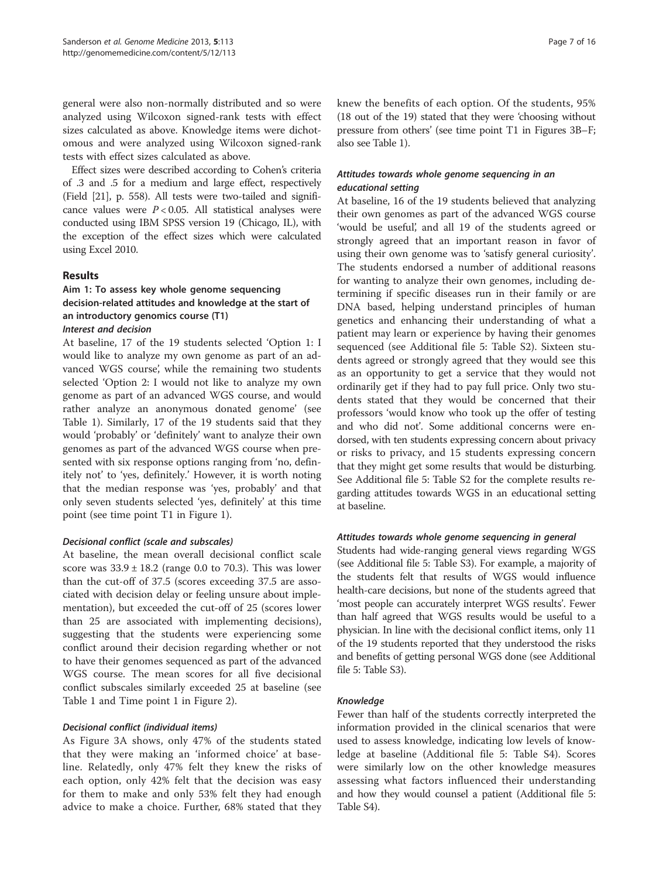general were also non-normally distributed and so were analyzed using Wilcoxon signed-rank tests with effect sizes calculated as above. Knowledge items were dichotomous and were analyzed using Wilcoxon signed-rank tests with effect sizes calculated as above.

Effect sizes were described according to Cohen's criteria of .3 and .5 for a medium and large effect, respectively (Field [\[21\]](#page-15-0), p. 558). All tests were two-tailed and significance values were  $P < 0.05$ . All statistical analyses were conducted using IBM SPSS version 19 (Chicago, IL), with the exception of the effect sizes which were calculated using Excel 2010.

## Results

# Aim 1: To assess key whole genome sequencing decision-related attitudes and knowledge at the start of an introductory genomics course (T1)

Interest and decision

At baseline, 17 of the 19 students selected 'Option 1: I would like to analyze my own genome as part of an advanced WGS course', while the remaining two students selected 'Option 2: I would not like to analyze my own genome as part of an advanced WGS course, and would rather analyze an anonymous donated genome' (see Table [1\)](#page-7-0). Similarly, 17 of the 19 students said that they would 'probably' or 'definitely' want to analyze their own genomes as part of the advanced WGS course when presented with six response options ranging from 'no, definitely not' to 'yes, definitely.' However, it is worth noting that the median response was 'yes, probably' and that only seven students selected 'yes, definitely' at this time point (see time point T1 in Figure [1](#page-9-0)).

#### Decisional conflict (scale and subscales)

At baseline, the mean overall decisional conflict scale score was  $33.9 \pm 18.2$  (range 0.0 to 70.3). This was lower than the cut-off of 37.5 (scores exceeding 37.5 are associated with decision delay or feeling unsure about implementation), but exceeded the cut-off of 25 (scores lower than 25 are associated with implementing decisions), suggesting that the students were experiencing some conflict around their decision regarding whether or not to have their genomes sequenced as part of the advanced WGS course. The mean scores for all five decisional conflict subscales similarly exceeded 25 at baseline (see Table [1](#page-7-0) and Time point 1 in Figure [2\)](#page-10-0).

## Decisional conflict (individual items)

As Figure [3](#page-11-0)A shows, only 47% of the students stated that they were making an 'informed choice' at baseline. Relatedly, only 47% felt they knew the risks of each option, only 42% felt that the decision was easy for them to make and only 53% felt they had enough advice to make a choice. Further, 68% stated that they

knew the benefits of each option. Of the students, 95% (18 out of the 19) stated that they were 'choosing without pressure from others' (see time point T1 in Figures [3B](#page-11-0)–F; also see Table [1\)](#page-7-0).

## Attitudes towards whole genome sequencing in an educational setting

At baseline, 16 of the 19 students believed that analyzing their own genomes as part of the advanced WGS course 'would be useful', and all 19 of the students agreed or strongly agreed that an important reason in favor of using their own genome was to 'satisfy general curiosity'. The students endorsed a number of additional reasons for wanting to analyze their own genomes, including determining if specific diseases run in their family or are DNA based, helping understand principles of human genetics and enhancing their understanding of what a patient may learn or experience by having their genomes sequenced (see Additional file [5](#page-14-0): Table S2). Sixteen students agreed or strongly agreed that they would see this as an opportunity to get a service that they would not ordinarily get if they had to pay full price. Only two students stated that they would be concerned that their professors 'would know who took up the offer of testing and who did not'. Some additional concerns were endorsed, with ten students expressing concern about privacy or risks to privacy, and 15 students expressing concern that they might get some results that would be disturbing. See Additional file [5](#page-14-0): Table S2 for the complete results regarding attitudes towards WGS in an educational setting at baseline.

#### Attitudes towards whole genome sequencing in general

Students had wide-ranging general views regarding WGS (see Additional file [5:](#page-14-0) Table S3). For example, a majority of the students felt that results of WGS would influence health-care decisions, but none of the students agreed that 'most people can accurately interpret WGS results'. Fewer than half agreed that WGS results would be useful to a physician. In line with the decisional conflict items, only 11 of the 19 students reported that they understood the risks and benefits of getting personal WGS done (see Additional file [5:](#page-14-0) Table S3).

#### Knowledge

Fewer than half of the students correctly interpreted the information provided in the clinical scenarios that were used to assess knowledge, indicating low levels of knowledge at baseline (Additional file [5:](#page-14-0) Table S4). Scores were similarly low on the other knowledge measures assessing what factors influenced their understanding and how they would counsel a patient (Additional file [5](#page-14-0): Table S4).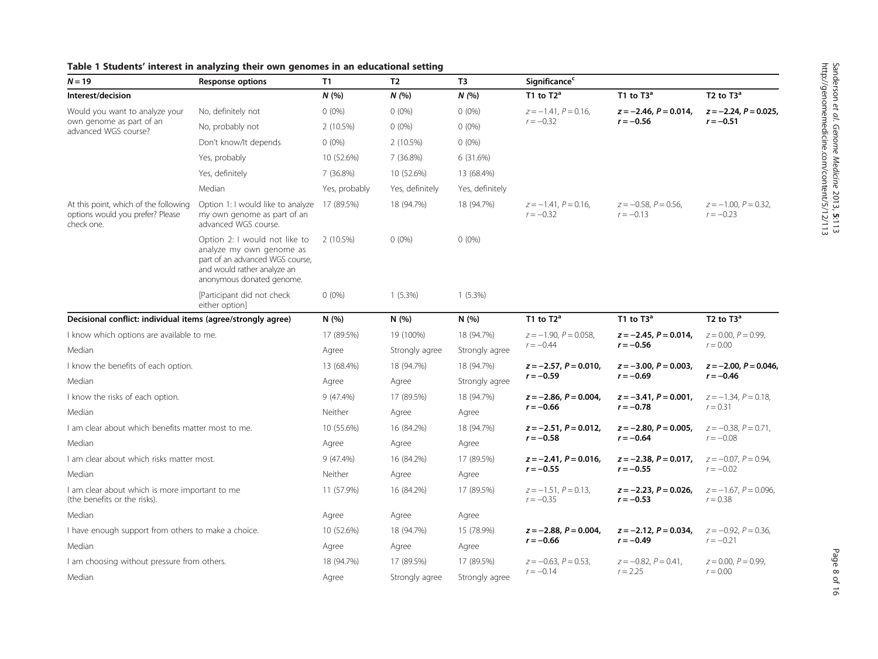#### <span id="page-7-0"></span>Table 1 Students' interest in analyzing their own genomes in an educational setting

| $N = 19$                                                                                | <b>Response options</b>                                                                                                                                  | T1            | T <sub>2</sub>  | T <sub>3</sub>  | Significance <sup>c</sup>                  |                                            |                                            |
|-----------------------------------------------------------------------------------------|----------------------------------------------------------------------------------------------------------------------------------------------------------|---------------|-----------------|-----------------|--------------------------------------------|--------------------------------------------|--------------------------------------------|
| Interest/decision                                                                       |                                                                                                                                                          | N(%           | N(%)            | N(%)            | T1 to $T2^a$                               | T1 to $T3^a$                               | T <sub>2</sub> to $T3^a$                   |
| Would you want to analyze your                                                          | No, definitely not                                                                                                                                       | $0(0\%)$      | $0(0\%)$        | $0(0\%)$        | $z = -1.41$ , $P = 0.16$ ,<br>$r = -0.32$  | $z = -2.46$ , $P = 0.014$ ,<br>$r = -0.56$ | $z = -2.24$ , $P = 0.025$ ,<br>$r = -0.51$ |
| own genome as part of an<br>advanced WGS course?                                        | No, probably not                                                                                                                                         | 2 (10.5%)     | $0(0\%)$        | $0(0\%)$        |                                            |                                            |                                            |
|                                                                                         | Don't know/It depends                                                                                                                                    | $0(0\%)$      | 2 (10.5%)       | $0(0\%)$        |                                            |                                            |                                            |
|                                                                                         | Yes, probably                                                                                                                                            | 10 (52.6%)    | 7 (36.8%)       | 6 (31.6%)       |                                            |                                            |                                            |
|                                                                                         | Yes, definitely                                                                                                                                          | 7 (36.8%)     | 10 (52.6%)      | 13 (68.4%)      |                                            |                                            |                                            |
|                                                                                         | Median                                                                                                                                                   | Yes, probably | Yes, definitely | Yes, definitely |                                            |                                            |                                            |
| At this point, which of the following<br>options would you prefer? Please<br>check one. | Option 1: I would like to analyze<br>my own genome as part of an<br>advanced WGS course.                                                                 | 17 (89.5%)    | 18 (94.7%)      | 18 (94.7%)      | $z = -1.41$ , $P = 0.16$ ,<br>$r = -0.32$  | $z = -0.58$ , $P = 0.56$ ,<br>$r = -0.13$  | $z = -1.00$ , $P = 0.32$ ,<br>$r = -0.23$  |
|                                                                                         | Option 2: I would not like to<br>analyze my own genome as<br>part of an advanced WGS course,<br>and would rather analyze an<br>anonymous donated genome. | 2 (10.5%)     | $0(0\%)$        | $0(0\%)$        |                                            |                                            |                                            |
|                                                                                         | [Participant did not check<br>either option]                                                                                                             | $0(0\%)$      | $1(5.3\%)$      | $1(5.3\%)$      |                                            |                                            |                                            |
| Decisional conflict: individual items (agree/strongly agree)                            |                                                                                                                                                          | N(%)          | N(%)            | N(%)            | T1 to $T2^a$                               | T1 to $T3^a$                               | T <sub>2</sub> to $T3^a$                   |
| I know which options are available to me.                                               |                                                                                                                                                          | 17 (89.5%)    | 19 (100%)       | 18 (94.7%)      | $z = -1.90$ , $P = 0.058$ ,                | $z = -2.45$ , $P = 0.014$ ,                | $z = 0.00$ , $P = 0.99$ ,                  |
| Median                                                                                  |                                                                                                                                                          | Agree         | Strongly agree  | Strongly agree  | $r = -0.44$                                | $r = -0.56$                                | $r = 0.00$                                 |
| I know the benefits of each option.                                                     |                                                                                                                                                          | 13 (68.4%)    | 18 (94.7%)      | 18 (94.7%)      | $z = -2.57$ , $P = 0.010$ ,<br>$r = -0.59$ | $z = -3.00, P = 0.003,$<br>$r = -0.69$     | $z = -2.00$ , $P = 0.046$ ,<br>$r = -0.46$ |
| Median                                                                                  |                                                                                                                                                          | Agree         | Agree           | Strongly agree  |                                            |                                            |                                            |
| I know the risks of each option.                                                        |                                                                                                                                                          | 9 (47.4%)     | 17 (89.5%)      | 18 (94.7%)      | $z = -2.86$ , $P = 0.004$ ,<br>$r = -0.66$ | $z = -3.41, P = 0.001,$<br>$r = -0.78$     | $z = -1.34$ , $P = 0.18$ ,<br>$r = 0.31$   |
| Median                                                                                  |                                                                                                                                                          | Neither       | Agree           | Agree           |                                            |                                            |                                            |
| I am clear about which benefits matter most to me.                                      |                                                                                                                                                          | 10 (55.6%)    | 16 (84.2%)      | 18 (94.7%)      | $z = -2.51$ , $P = 0.012$ ,<br>$r = -0.58$ | $z = -2.80, P = 0.005,$<br>$r = -0.64$     | $z = -0.38$ , $P = 0.71$ ,<br>$r = -0.08$  |
| Median                                                                                  |                                                                                                                                                          | Agree         | Agree           | Agree           |                                            |                                            |                                            |
| I am clear about which risks matter most.                                               |                                                                                                                                                          | 9 (47.4%)     | 16 (84.2%)      | 17 (89.5%)      | $z = -2.41$ , $P = 0.016$ ,<br>$r = -0.55$ | $z = -2.38$ , $P = 0.017$ ,<br>$r = -0.55$ | $z = -0.07$ , $P = 0.94$ ,<br>$r = -0.02$  |
| Median                                                                                  |                                                                                                                                                          | Neither       | Agree           | Agree           |                                            |                                            |                                            |
| I am clear about which is more important to me<br>(the benefits or the risks).          |                                                                                                                                                          | 11 (57.9%)    | 16 (84.2%)      | 17 (89.5%)      | $z = -1.51$ , $P = 0.13$ ,<br>$r = -0.35$  | $z = -2.23$ , $P = 0.026$ ,<br>$r = -0.53$ | $z = -1.67$ , $P = 0.096$ ,<br>$r = 0.38$  |
| Median                                                                                  |                                                                                                                                                          | Agree         | Agree           | Agree           |                                            |                                            |                                            |
| I have enough support from others to make a choice.                                     |                                                                                                                                                          | 10 (52.6%)    | 18 (94.7%)      | 15 (78.9%)      | $z = -2.88$ , $P = 0.004$ ,                | $z = -2.12$ , $P = 0.034$ ,                | $z = -0.92$ , $P = 0.36$ ,                 |
| Median                                                                                  |                                                                                                                                                          | Agree         | Agree           | Agree           | $r = -0.66$                                | $r = -0.49$                                | $r = -0.21$                                |
| I am choosing without pressure from others.                                             |                                                                                                                                                          | 18 (94.7%)    | 17 (89.5%)      | 17 (89.5%)      | $z = -0.63$ , $P = 0.53$ ,<br>$r = -0.14$  | $z = -0.82$ , $P = 0.41$ ,<br>$r = 2.25$   | $z = 0.00$ , $P = 0.99$ ,<br>$r = 0.00$    |
| Median                                                                                  |                                                                                                                                                          | Agree         | Strongly agree  | Strongly agree  |                                            |                                            |                                            |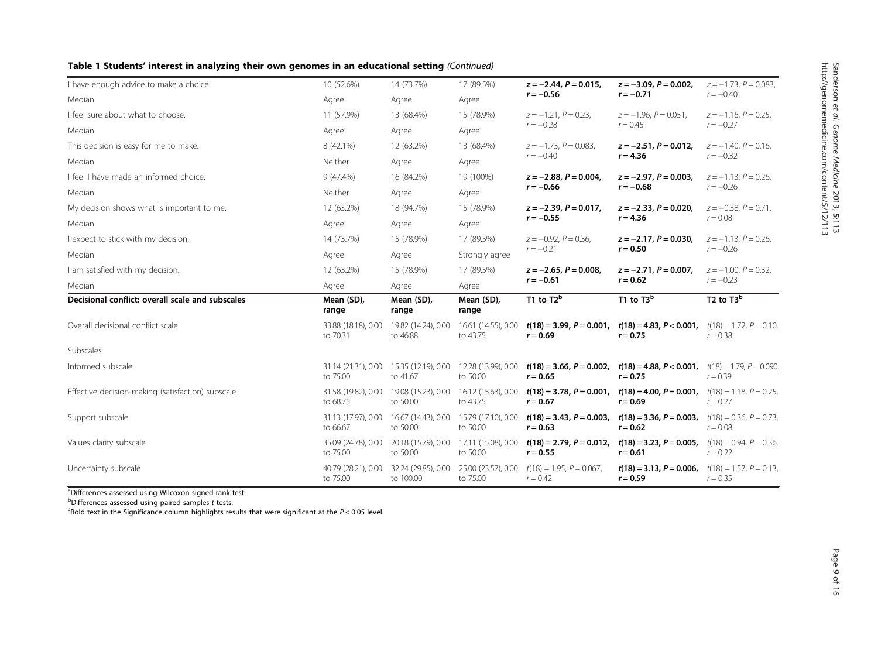| Table 1 Students' interest in analyzing their own genomes in an educational setting (Continued) |  |  |  |
|-------------------------------------------------------------------------------------------------|--|--|--|
|                                                                                                 |  |  |  |

| I have enough advice to make a choice.            | 10 (52.6%)                      | 14 (73.7%)                      | 17 (89.5%)                      | $z = -2.44$ , $P = 0.015$ ,                                                                               | $z = -3.09$ , $P = 0.002$ ,                                                 | $z = -1.73$ , $P = 0.083$ ,                 |
|---------------------------------------------------|---------------------------------|---------------------------------|---------------------------------|-----------------------------------------------------------------------------------------------------------|-----------------------------------------------------------------------------|---------------------------------------------|
| Median                                            | Agree                           | Agree                           | Agree                           | $r = -0.56$                                                                                               | $r = -0.71$                                                                 | $r = -0.40$                                 |
| I feel sure about what to choose.                 | 11 (57.9%)                      | 13 (68.4%)                      | 15 (78.9%)                      | $z = -1.21$ , $P = 0.23$ ,                                                                                | $z = -1.96$ , $P = 0.051$ ,<br>$r = 0.45$                                   | $z = -1.16$ , $P = 0.25$ ,<br>$r = -0.27$   |
| Median                                            | Agree                           | Agree                           | Agree                           | $r = -0.28$                                                                                               |                                                                             |                                             |
| This decision is easy for me to make.             | 8 (42.1%)                       | 12 (63.2%)                      | 13 (68.4%)                      | $z = -1.73$ , $P = 0.083$ ,                                                                               | $z = -2.51, P = 0.012,$<br>$r = 4.36$                                       | $z = -1.40$ , $P = 0.16$ ,<br>$r = -0.32$   |
| Median                                            | Neither                         | Agree                           | Agree                           | $r = -0.40$                                                                                               |                                                                             |                                             |
| I feel I have made an informed choice.            | $9(47.4\%)$                     | 16 (84.2%)                      | 19 (100%)                       | $z = -2.88$ , $P = 0.004$ ,                                                                               | $z = -2.97, P = 0.003,$<br>$r = -0.68$                                      | $z = -1.13$ , $P = 0.26$ ,<br>$r = -0.26$   |
| Median                                            | Neither                         | Agree                           | Agree                           | $r = -0.66$                                                                                               |                                                                             |                                             |
| My decision shows what is important to me.        | 12 (63.2%)                      | 18 (94.7%)                      | 15 (78.9%)                      | $z = -2.39$ , $P = 0.017$ ,                                                                               | $z = -2.33$ , $P = 0.020$ ,<br>$r = 4.36$                                   | $z = -0.38$ , $P = 0.71$ ,<br>$r = 0.08$    |
| Median                                            | Agree                           | Agree                           | Agree                           | $r = -0.55$                                                                                               |                                                                             |                                             |
| I expect to stick with my decision.               | 14 (73.7%)                      | 15 (78.9%)                      | 17 (89.5%)                      | $z = -0.92$ , $P = 0.36$ ,                                                                                | $z = -2.17$ , $P = 0.030$ ,<br>$r = 0.50$                                   | $z = -1.13$ , $P = 0.26$ ,<br>$r = -0.26$   |
| Median                                            | Agree                           | Agree                           | Strongly agree                  | $r = -0.21$                                                                                               |                                                                             |                                             |
| I am satisfied with my decision.                  | 12 (63.2%)                      | 15 (78.9%)                      | 17 (89.5%)                      | $z = -2.65$ , $P = 0.008$ ,                                                                               | $z = -2.71$ , $P = 0.007$ ,                                                 | $z = -1.00$ , $P = 0.32$ ,                  |
|                                                   |                                 |                                 |                                 |                                                                                                           | $r = 0.62$                                                                  | $r = -0.23$                                 |
| Median                                            | Agree                           | Agree                           | Agree                           | $r = -0.61$                                                                                               |                                                                             |                                             |
| Decisional conflict: overall scale and subscales  | Mean (SD),<br>range             | Mean (SD),<br>range             | Mean (SD),<br>range             | T1 to $T2^b$                                                                                              | T1 to $T3^b$                                                                | T <sub>2</sub> to T <sub>3</sub> b          |
| Overall decisional conflict scale                 | 33.88 (18.18), 0.00<br>to 70.31 | 19.82 (14.24), 0.00<br>to 46.88 | 16.61 (14.55), 0.00<br>to 43.75 | $t(18) = 3.99$ , $P = 0.001$ , $t(18) = 4.83$ , $P < 0.001$ , $t(18) = 1.72$ , $P = 0.10$ ,<br>$r = 0.69$ | $r = 0.75$                                                                  | $r = 0.38$                                  |
| Subscales:                                        |                                 |                                 |                                 |                                                                                                           |                                                                             |                                             |
| Informed subscale                                 | 31.14 (21.31), 0.00<br>to 75.00 | 15.35 (12.19), 0.00<br>to 41.67 | 12.28 (13.99), 0.00<br>to 50.00 | $t(18) = 3.66, P = 0.002,$<br>$r = 0.65$                                                                  | $t(18) = 4.88$ , $P < 0.001$ , $t(18) = 1.79$ , $P = 0.090$ ,<br>$r = 0.75$ | $r = 0.39$                                  |
| Effective decision-making (satisfaction) subscale | 31.58 (19.82), 0.00<br>to 68.75 | 19.08 (15.23), 0.00<br>to 50.00 | 16.12 (15.63), 0.00<br>to 43.75 | $t(18) = 3.78$ , $P = 0.001$ ,<br>$r = 0.67$                                                              | $t(18) = 4.00$ , $P = 0.001$ , $t(18) = 1.18$ , $P = 0.25$ ,<br>$r = 0.69$  | $r = 0.27$                                  |
| Support subscale                                  | 31.13 (17.97), 0.00<br>to 66.67 | 16.67 (14.43), 0.00<br>to 50.00 | 15.79 (17.10), 0.00<br>to 50.00 | $t(18) = 3.43, P = 0.003,$<br>$r = 0.63$                                                                  | $t(18) = 3.36, P = 0.003,$<br>$r = 0.62$                                    | $t(18) = 0.36, P = 0.73,$<br>$r = 0.08$     |
| Values clarity subscale                           | 35.09 (24.78), 0.00<br>to 75.00 | 20.18 (15.79), 0.00<br>to 50.00 | 17.11 (15.08), 0.00<br>to 50.00 | $t(18) = 2.79, P = 0.012,$<br>$r = 0.55$                                                                  | $t(18) = 3.23, P = 0.005,$<br>$r = 0.61$                                    | $t(18) = 0.94$ , $P = 0.36$ ,<br>$r = 0.22$ |

<sup>a</sup>Differences assessed using Wilcoxon signed-rank test.<br><sup>b</sup>Differences assessed using paired samples *t*-tests.

 $c_{\text{Bold}}$  text in the Significance column highlights results that were significant at the  $P < 0.05$  level.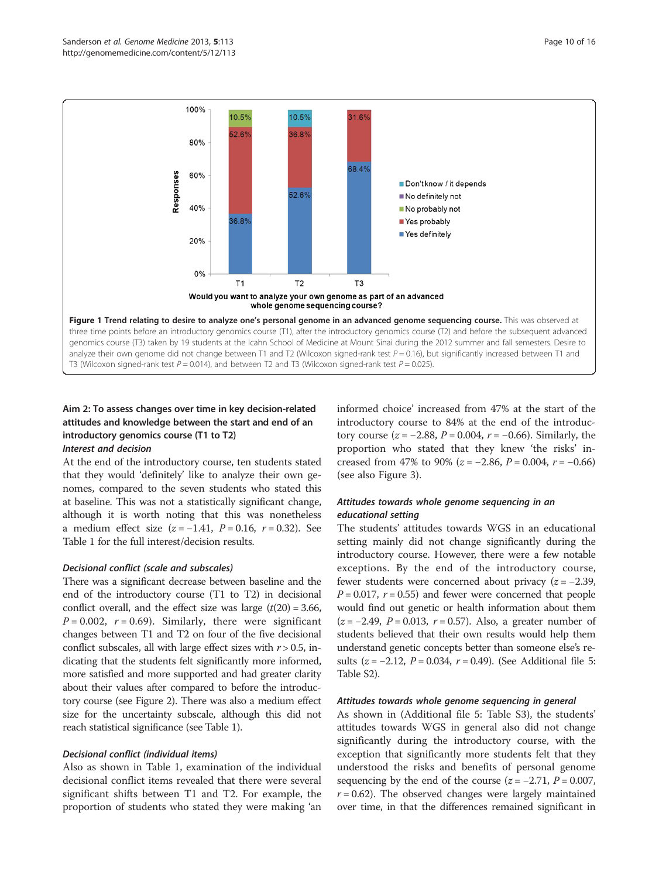<span id="page-9-0"></span>

# Aim 2: To assess changes over time in key decision-related attitudes and knowledge between the start and end of an introductory genomics course (T1 to T2)

## Interest and decision

At the end of the introductory course, ten students stated that they would 'definitely' like to analyze their own genomes, compared to the seven students who stated this at baseline. This was not a statistically significant change, although it is worth noting that this was nonetheless a medium effect size  $(z = -1.41, P = 0.16, r = 0.32)$ . See Table [1](#page-7-0) for the full interest/decision results.

#### Decisional conflict (scale and subscales)

There was a significant decrease between baseline and the end of the introductory course (T1 to T2) in decisional conflict overall, and the effect size was large  $(t(20) = 3.66$ ,  $P = 0.002$ ,  $r = 0.69$ ). Similarly, there were significant changes between T1 and T2 on four of the five decisional conflict subscales, all with large effect sizes with  $r > 0.5$ , indicating that the students felt significantly more informed, more satisfied and more supported and had greater clarity about their values after compared to before the introductory course (see Figure [2](#page-10-0)). There was also a medium effect size for the uncertainty subscale, although this did not reach statistical significance (see Table [1](#page-7-0)).

## Decisional conflict (individual items)

Also as shown in Table [1,](#page-7-0) examination of the individual decisional conflict items revealed that there were several significant shifts between T1 and T2. For example, the proportion of students who stated they were making 'an

informed choice' increased from 47% at the start of the introductory course to 84% at the end of the introductory course ( $z = -2.88$ ,  $P = 0.004$ ,  $r = -0.66$ ). Similarly, the proportion who stated that they knew 'the risks' increased from 47% to 90% ( $z = -2.86$ ,  $P = 0.004$ ,  $r = -0.66$ ) (see also Figure [3\)](#page-11-0).

## Attitudes towards whole genome sequencing in an educational setting

The students' attitudes towards WGS in an educational setting mainly did not change significantly during the introductory course. However, there were a few notable exceptions. By the end of the introductory course, fewer students were concerned about privacy  $(z = -2.39, z = 0.39)$  $P = 0.017$ ,  $r = 0.55$ ) and fewer were concerned that people would find out genetic or health information about them  $(z = -2.49, P = 0.013, r = 0.57)$ . Also, a greater number of students believed that their own results would help them understand genetic concepts better than someone else's results ( $z = -2.12$ ,  $P = 0.034$ ,  $r = 0.49$ ). (See Additional file [5](#page-14-0): Table S2).

#### Attitudes towards whole genome sequencing in general

As shown in (Additional file [5:](#page-14-0) Table S3), the students' attitudes towards WGS in general also did not change significantly during the introductory course, with the exception that significantly more students felt that they understood the risks and benefits of personal genome sequencing by the end of the course  $(z = -2.71, P = 0.007,$  $r = 0.62$ ). The observed changes were largely maintained over time, in that the differences remained significant in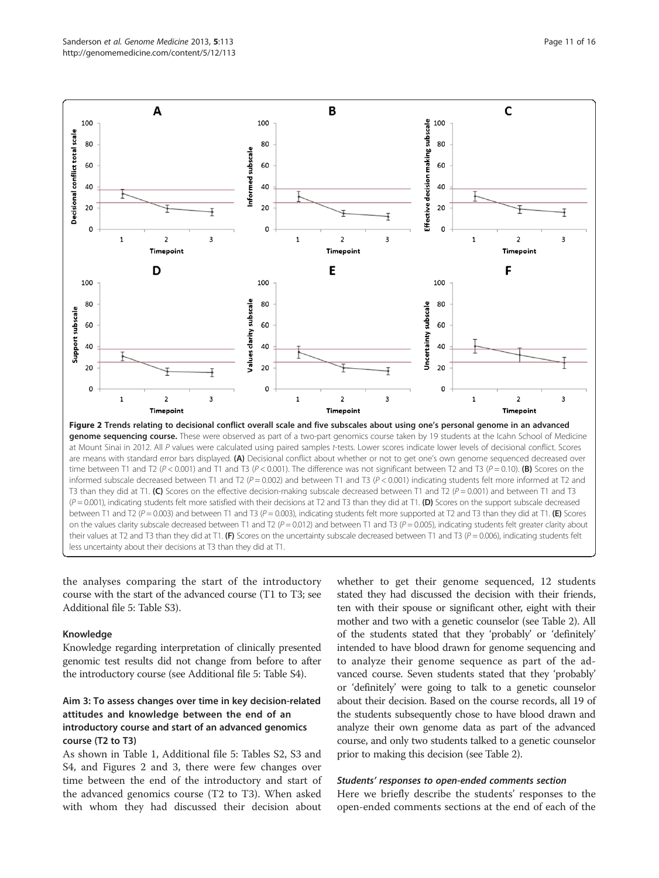<span id="page-10-0"></span>

Figure 2 Trends relating to decisional conflict overall scale and five subscales about using one's personal genome in an advanced genome sequencing course. These were observed as part of a two-part genomics course taken by 19 students at the Icahn School of Medicine at Mount Sinai in 2012. All P values were calculated using paired samples t-tests. Lower scores indicate lower levels of decisional conflict. Scores are means with standard error bars displayed. (A) Decisional conflict about whether or not to get one's own genome sequenced decreased over time between T1 and T2 (P < 0.001) and T1 and T3 (P < 0.001). The difference was not significant between T2 and T3 (P = 0.10). (B) Scores on the informed subscale decreased between T1 and T2 ( $P = 0.002$ ) and between T1 and T3 ( $P < 0.001$ ) indicating students felt more informed at T2 and T3 than they did at T1. (C) Scores on the effective decision-making subscale decreased between T1 and T2 ( $P = 0.001$ ) and between T1 and T3  $(P = 0.001)$ , indicating students felt more satisfied with their decisions at T2 and T3 than they did at T1. (D) Scores on the support subscale decreased between T1 and T2 (P = 0.003) and between T1 and T3 (P = 0.003), indicating students felt more supported at T2 and T3 than they did at T1. (E) Scores on the values clarity subscale decreased between T1 and T2 ( $P = 0.012$ ) and between T1 and T3 ( $P = 0.005$ ), indicating students felt greater clarity about their values at T2 and T3 than they did at T1. (F) Scores on the uncertainty subscale decreased between T1 and T3 ( $P = 0.006$ ), indicating students felt less uncertainty about their decisions at T3 than they did at T1.

the analyses comparing the start of the introductory course with the start of the advanced course (T1 to T3; see Additional file [5](#page-14-0): Table S3).

## Knowledge

Knowledge regarding interpretation of clinically presented genomic test results did not change from before to after the introductory course (see Additional file [5:](#page-14-0) Table S4).

## Aim 3: To assess changes over time in key decision-related attitudes and knowledge between the end of an introductory course and start of an advanced genomics course (T2 to T3)

As shown in Table [1](#page-7-0), Additional file [5](#page-14-0): Tables S2, S3 and S4, and Figures 2 and [3](#page-11-0), there were few changes over time between the end of the introductory and start of the advanced genomics course (T2 to T3). When asked with whom they had discussed their decision about

whether to get their genome sequenced, 12 students stated they had discussed the decision with their friends, ten with their spouse or significant other, eight with their mother and two with a genetic counselor (see Table [2\)](#page-12-0). All of the students stated that they 'probably' or 'definitely' intended to have blood drawn for genome sequencing and to analyze their genome sequence as part of the advanced course. Seven students stated that they 'probably' or 'definitely' were going to talk to a genetic counselor about their decision. Based on the course records, all 19 of the students subsequently chose to have blood drawn and analyze their own genome data as part of the advanced course, and only two students talked to a genetic counselor prior to making this decision (see Table [2](#page-12-0)).

#### Students' responses to open-ended comments section

Here we briefly describe the students' responses to the open-ended comments sections at the end of each of the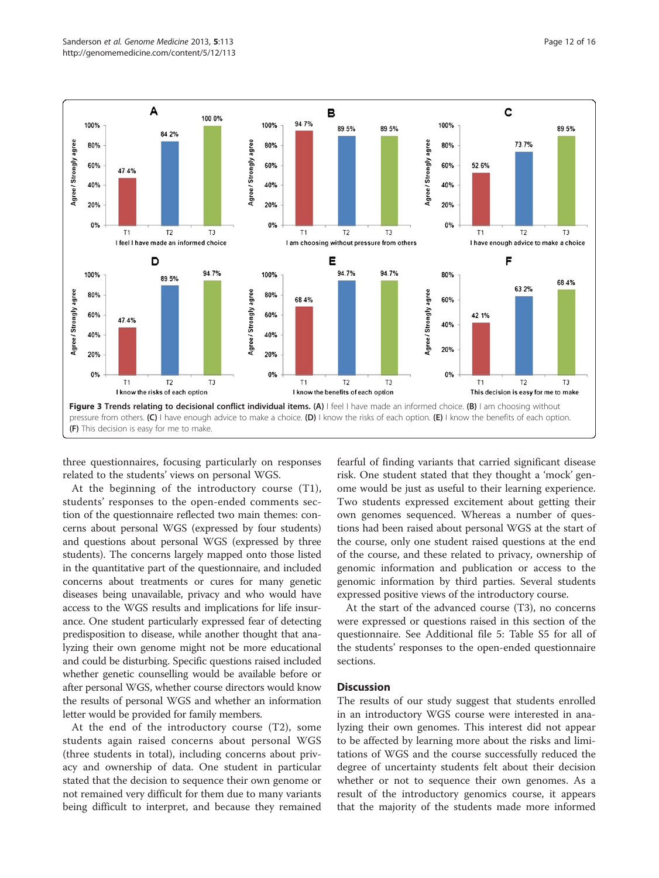<span id="page-11-0"></span>

three questionnaires, focusing particularly on responses related to the students' views on personal WGS.

At the beginning of the introductory course (T1), students' responses to the open-ended comments section of the questionnaire reflected two main themes: concerns about personal WGS (expressed by four students) and questions about personal WGS (expressed by three students). The concerns largely mapped onto those listed in the quantitative part of the questionnaire, and included concerns about treatments or cures for many genetic diseases being unavailable, privacy and who would have access to the WGS results and implications for life insurance. One student particularly expressed fear of detecting predisposition to disease, while another thought that analyzing their own genome might not be more educational and could be disturbing. Specific questions raised included whether genetic counselling would be available before or after personal WGS, whether course directors would know the results of personal WGS and whether an information letter would be provided for family members.

At the end of the introductory course (T2), some students again raised concerns about personal WGS (three students in total), including concerns about privacy and ownership of data. One student in particular stated that the decision to sequence their own genome or not remained very difficult for them due to many variants being difficult to interpret, and because they remained

fearful of finding variants that carried significant disease risk. One student stated that they thought a 'mock' genome would be just as useful to their learning experience. Two students expressed excitement about getting their own genomes sequenced. Whereas a number of questions had been raised about personal WGS at the start of the course, only one student raised questions at the end of the course, and these related to privacy, ownership of genomic information and publication or access to the genomic information by third parties. Several students expressed positive views of the introductory course.

At the start of the advanced course (T3), no concerns were expressed or questions raised in this section of the questionnaire. See Additional file [5:](#page-14-0) Table S5 for all of the students' responses to the open-ended questionnaire sections.

#### **Discussion**

The results of our study suggest that students enrolled in an introductory WGS course were interested in analyzing their own genomes. This interest did not appear to be affected by learning more about the risks and limitations of WGS and the course successfully reduced the degree of uncertainty students felt about their decision whether or not to sequence their own genomes. As a result of the introductory genomics course, it appears that the majority of the students made more informed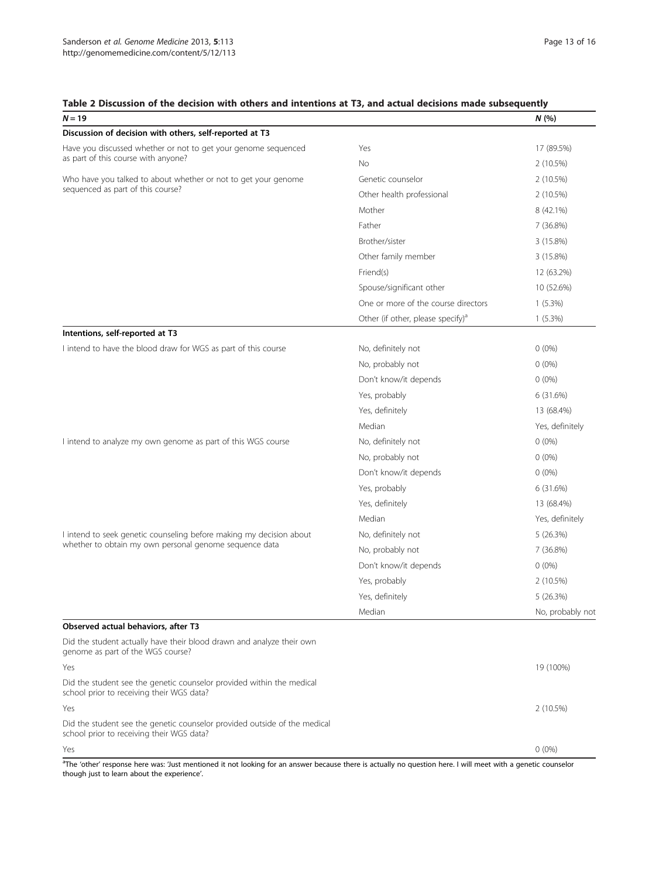## $N = 19$   $N$  (%) Discussion of decision with others, self-reported at T3 Have you discussed whether or not to get your genome sequenced as part of this course with anyone? Yes 17 (89.5%) No 2 (10.5%) Who have you talked to about whether or not to get your genome sequenced as part of this course? Genetic counselor 2 (10.5%) Other health professional 2 (10.5%) Mother 8 (42.1%) Father 7 (36.8%) Brother/sister 3 (15.8%) Other family member 3 (15.8%) Friend(s) 12 (63.2%) Spouse/significant other 10 (52.6%) One or more of the course directors 1 (5.3%) Other (if other, please specify)<sup>a</sup> 1 (5.3%) Intentions, self-reported at T3 I intend to have the blood draw for WGS as part of this course No, definitely not No, definitely not 0 (0%) No, probably not 0 (0%) Don't know/it depends 0 (0%) Yes, probably 6 (31.6%) Yes, definitely 13 (68.4%) Median Median Ness, definitely I intend to analyze my own genome as part of this WGS course No, definitely not No, definitely not 0 (0%) No, probably not 0 (0%) Don't know/it depends 0 (0%) Yes, probably 6 (31.6%) Yes, definitely 13 (68.4%) Median Median The Control of the Ves, definitely I intend to seek genetic counseling before making my decision about whether to obtain my own personal genome sequence data No, definitely not 5 (26.3%) No, probably not  $(36.8\%)$ Don't know/it depends 0 (0%) Yes, probably 2 (10.5%) Yes, definitely  $5(26.3\%)$ Median Mo, probably not Observed actual behaviors, after T3 Did the student actually have their blood drawn and analyze their own genome as part of the WGS course? Yes 19 (100%) Did the student see the genetic counselor provided within the medical school prior to receiving their WGS data? Yes 2 (10.5%) Did the student see the genetic counselor provided outside of the medical school prior to receiving their WGS data? Yes 0 (0%)

## <span id="page-12-0"></span>Table 2 Discussion of the decision with others and intentions at T3, and actual decisions made subsequently

a<br>The 'other' response here was: 'Just mentioned it not looking for an answer because there is actually no question here. I will meet with a genetic counselor though just to learn about the experience'.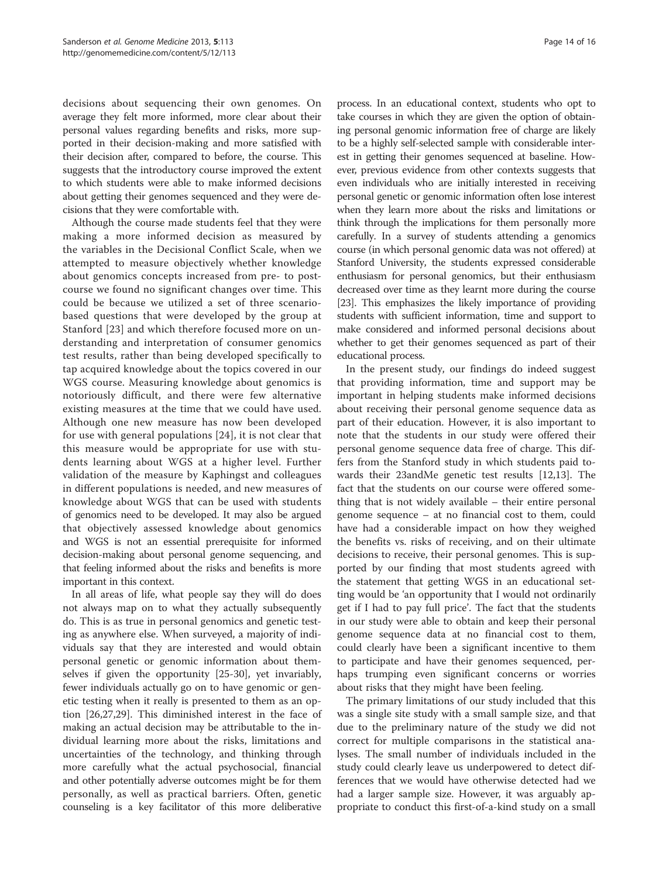decisions about sequencing their own genomes. On average they felt more informed, more clear about their personal values regarding benefits and risks, more supported in their decision-making and more satisfied with their decision after, compared to before, the course. This suggests that the introductory course improved the extent to which students were able to make informed decisions about getting their genomes sequenced and they were decisions that they were comfortable with.

Although the course made students feel that they were making a more informed decision as measured by the variables in the Decisional Conflict Scale, when we attempted to measure objectively whether knowledge about genomics concepts increased from pre- to postcourse we found no significant changes over time. This could be because we utilized a set of three scenariobased questions that were developed by the group at Stanford [[23](#page-15-0)] and which therefore focused more on understanding and interpretation of consumer genomics test results, rather than being developed specifically to tap acquired knowledge about the topics covered in our WGS course. Measuring knowledge about genomics is notoriously difficult, and there were few alternative existing measures at the time that we could have used. Although one new measure has now been developed for use with general populations [[24](#page-15-0)], it is not clear that this measure would be appropriate for use with students learning about WGS at a higher level. Further validation of the measure by Kaphingst and colleagues in different populations is needed, and new measures of knowledge about WGS that can be used with students of genomics need to be developed. It may also be argued that objectively assessed knowledge about genomics and WGS is not an essential prerequisite for informed decision-making about personal genome sequencing, and that feeling informed about the risks and benefits is more important in this context.

In all areas of life, what people say they will do does not always map on to what they actually subsequently do. This is as true in personal genomics and genetic testing as anywhere else. When surveyed, a majority of individuals say that they are interested and would obtain personal genetic or genomic information about themselves if given the opportunity [[25-30](#page-15-0)], yet invariably, fewer individuals actually go on to have genomic or genetic testing when it really is presented to them as an option [[26,27,29](#page-15-0)]. This diminished interest in the face of making an actual decision may be attributable to the individual learning more about the risks, limitations and uncertainties of the technology, and thinking through more carefully what the actual psychosocial, financial and other potentially adverse outcomes might be for them personally, as well as practical barriers. Often, genetic counseling is a key facilitator of this more deliberative

process. In an educational context, students who opt to take courses in which they are given the option of obtaining personal genomic information free of charge are likely to be a highly self-selected sample with considerable interest in getting their genomes sequenced at baseline. However, previous evidence from other contexts suggests that even individuals who are initially interested in receiving personal genetic or genomic information often lose interest when they learn more about the risks and limitations or think through the implications for them personally more carefully. In a survey of students attending a genomics course (in which personal genomic data was not offered) at Stanford University, the students expressed considerable enthusiasm for personal genomics, but their enthusiasm decreased over time as they learnt more during the course [[23](#page-15-0)]. This emphasizes the likely importance of providing students with sufficient information, time and support to make considered and informed personal decisions about whether to get their genomes sequenced as part of their educational process.

In the present study, our findings do indeed suggest that providing information, time and support may be important in helping students make informed decisions about receiving their personal genome sequence data as part of their education. However, it is also important to note that the students in our study were offered their personal genome sequence data free of charge. This differs from the Stanford study in which students paid towards their 23andMe genetic test results [\[12,13\]](#page-15-0). The fact that the students on our course were offered something that is not widely available – their entire personal genome sequence – at no financial cost to them, could have had a considerable impact on how they weighed the benefits vs. risks of receiving, and on their ultimate decisions to receive, their personal genomes. This is supported by our finding that most students agreed with the statement that getting WGS in an educational setting would be 'an opportunity that I would not ordinarily get if I had to pay full price'. The fact that the students in our study were able to obtain and keep their personal genome sequence data at no financial cost to them, could clearly have been a significant incentive to them to participate and have their genomes sequenced, perhaps trumping even significant concerns or worries about risks that they might have been feeling.

The primary limitations of our study included that this was a single site study with a small sample size, and that due to the preliminary nature of the study we did not correct for multiple comparisons in the statistical analyses. The small number of individuals included in the study could clearly leave us underpowered to detect differences that we would have otherwise detected had we had a larger sample size. However, it was arguably appropriate to conduct this first-of-a-kind study on a small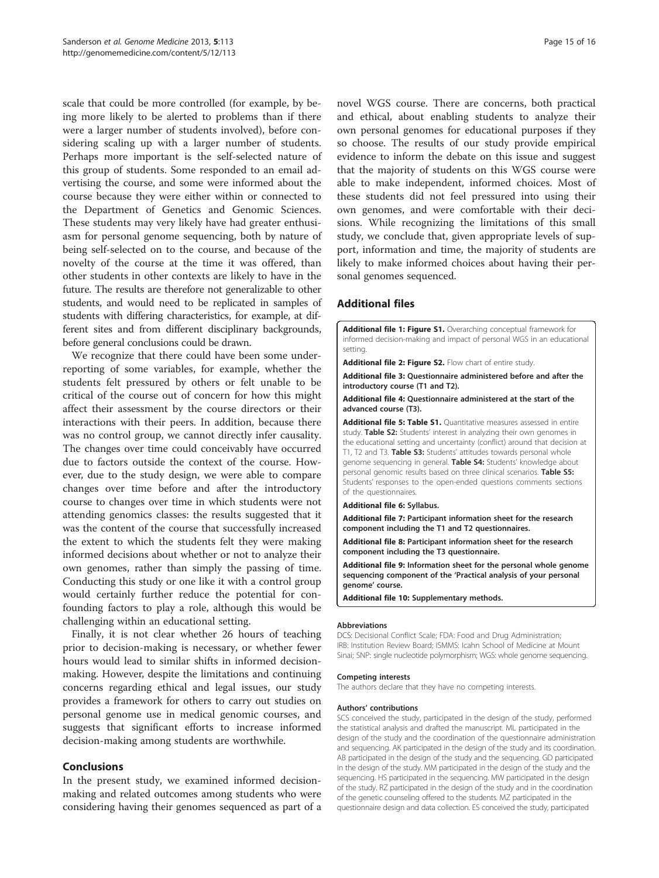<span id="page-14-0"></span>scale that could be more controlled (for example, by being more likely to be alerted to problems than if there were a larger number of students involved), before considering scaling up with a larger number of students. Perhaps more important is the self-selected nature of this group of students. Some responded to an email advertising the course, and some were informed about the course because they were either within or connected to the Department of Genetics and Genomic Sciences. These students may very likely have had greater enthusiasm for personal genome sequencing, both by nature of being self-selected on to the course, and because of the novelty of the course at the time it was offered, than other students in other contexts are likely to have in the future. The results are therefore not generalizable to other students, and would need to be replicated in samples of students with differing characteristics, for example, at different sites and from different disciplinary backgrounds, before general conclusions could be drawn.

We recognize that there could have been some underreporting of some variables, for example, whether the students felt pressured by others or felt unable to be critical of the course out of concern for how this might affect their assessment by the course directors or their interactions with their peers. In addition, because there was no control group, we cannot directly infer causality. The changes over time could conceivably have occurred due to factors outside the context of the course. However, due to the study design, we were able to compare changes over time before and after the introductory course to changes over time in which students were not attending genomics classes: the results suggested that it was the content of the course that successfully increased the extent to which the students felt they were making informed decisions about whether or not to analyze their own genomes, rather than simply the passing of time. Conducting this study or one like it with a control group would certainly further reduce the potential for confounding factors to play a role, although this would be challenging within an educational setting.

Finally, it is not clear whether 26 hours of teaching prior to decision-making is necessary, or whether fewer hours would lead to similar shifts in informed decisionmaking. However, despite the limitations and continuing concerns regarding ethical and legal issues, our study provides a framework for others to carry out studies on personal genome use in medical genomic courses, and suggests that significant efforts to increase informed decision-making among students are worthwhile.

## Conclusions

In the present study, we examined informed decisionmaking and related outcomes among students who were considering having their genomes sequenced as part of a novel WGS course. There are concerns, both practical and ethical, about enabling students to analyze their own personal genomes for educational purposes if they so choose. The results of our study provide empirical evidence to inform the debate on this issue and suggest that the majority of students on this WGS course were able to make independent, informed choices. Most of these students did not feel pressured into using their own genomes, and were comfortable with their decisions. While recognizing the limitations of this small study, we conclude that, given appropriate levels of support, information and time, the majority of students are likely to make informed choices about having their personal genomes sequenced.

## Additional files

[Additional file 1: Figure S1.](http://www.biomedcentral.com/content/supplementary/gm518-S1.pptx) Overarching conceptual framework for informed decision-making and impact of personal WGS in an educational setting.

[Additional file 2: Figure S2.](http://www.biomedcentral.com/content/supplementary/gm518-S2.pptx) Flow chart of entire study.

[Additional file 3:](http://www.biomedcentral.com/content/supplementary/gm518-S3.docx) Questionnaire administered before and after the introductory course (T1 and T2).

[Additional file 4:](http://www.biomedcentral.com/content/supplementary/gm518-S4.docx) Questionnaire administered at the start of the advanced course (T3).

[Additional file 5: Table S1.](http://www.biomedcentral.com/content/supplementary/gm518-S5.pdf) Quantitative measures assessed in entire study. **Table S2:** Students' interest in analyzing their own genomes in the educational setting and uncertainty (conflict) around that decision at T1, T2 and T3. Table S3: Students' attitudes towards personal whole genome sequencing in general. Table S4: Students' knowledge about personal genomic results based on three clinical scenarios. Table S5: Students' responses to the open-ended questions comments sections of the questionnaires.

#### [Additional file 6:](http://www.biomedcentral.com/content/supplementary/gm518-S6.docx) Syllabus.

[Additional file 7:](http://www.biomedcentral.com/content/supplementary/gm518-S7.pdf) Participant information sheet for the research component including the T1 and T2 questionnaires.

[Additional file 8:](http://www.biomedcentral.com/content/supplementary/gm518-S8.doc) Participant information sheet for the research component including the T3 questionnaire.

[Additional file 9:](http://www.biomedcentral.com/content/supplementary/gm518-S9.doc) Information sheet for the personal whole genome sequencing component of the 'Practical analysis of your personal genome' course.

[Additional file 10:](http://www.biomedcentral.com/content/supplementary/gm518-S10.docx) Supplementary methods.

#### Abbreviations

DCS: Decisional Conflict Scale; FDA: Food and Drug Administration; IRB: Institution Review Board; ISMMS: Icahn School of Medicine at Mount Sinai; SNP: single nucleotide polymorphism; WGS: whole genome sequencing.

#### Competing interests

The authors declare that they have no competing interests.

#### Authors' contributions

SCS conceived the study, participated in the design of the study, performed the statistical analysis and drafted the manuscript. ML participated in the design of the study and the coordination of the questionnaire administration and sequencing. AK participated in the design of the study and its coordination. AB participated in the design of the study and the sequencing. GD participated in the design of the study. MM participated in the design of the study and the sequencing. HS participated in the sequencing. MW participated in the design of the study. RZ participated in the design of the study and in the coordination of the genetic counseling offered to the students. MZ participated in the questionnaire design and data collection. ES conceived the study, participated